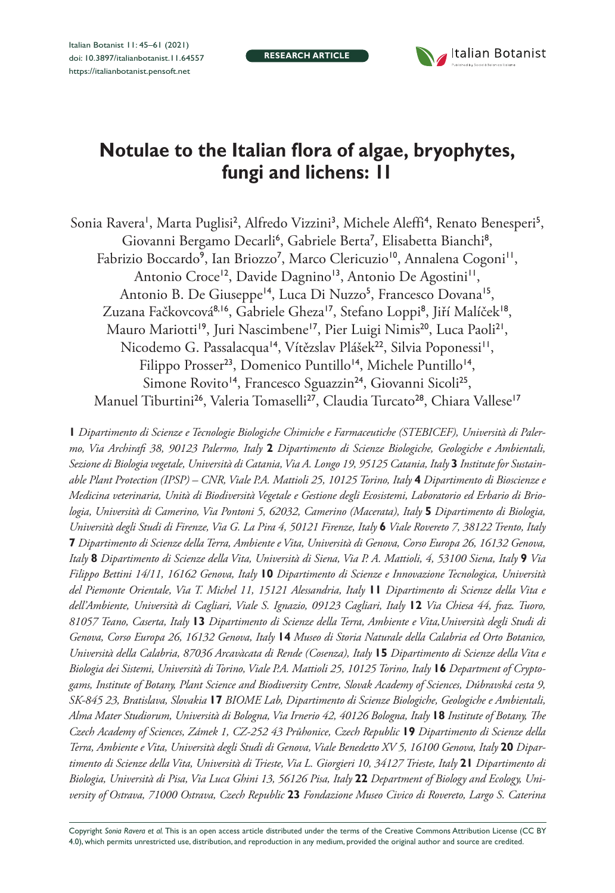**RESEARCH ARTICLE**



# **Notulae to the Italian flora of algae, bryophytes, fungi and lichens: 11**

Sonia Ravera', Marta Puglisi<sup>2</sup>, Alfredo Vizzini<sup>3</sup>, Michele Aleffi<sup>4</sup>, Renato Benesperi<sup>5</sup>, Giovanni Bergamo Decarli<sup>6</sup>, Gabriele Berta<sup>7</sup>, Elisabetta Bianchi<sup>8</sup>, Fabrizio Boccardo<sup>9</sup>, Ian Briozzo<sup>7</sup>, Marco Clericuzio<sup>10</sup>, Annalena Cogoni<sup>11</sup>, Antonio Croce<sup>12</sup>, Davide Dagnino<sup>13</sup>, Antonio De Agostini<sup>11</sup>, Antonio B. De Giuseppe<sup>14</sup>, Luca Di Nuzzo<sup>5</sup>, Francesco Dovana<sup>15</sup>, Zuzana Fačkovcová<sup>8,16</sup>, Gabriele Gheza<sup>17</sup>, Stefano Loppi<sup>8</sup>, Jiří Malíček<sup>18</sup>, Mauro Mariotti<sup>19</sup>, Juri Nascimbene<sup>17</sup>, Pier Luigi Nimis<sup>20</sup>, Luca Paoli<sup>21</sup>, Nicodemo G. Passalacqua<sup>14</sup>, Vítězslav Plášek<sup>22</sup>, Silvia Poponessi<sup>11</sup>, Filippo Prosser<sup>23</sup>, Domenico Puntillo<sup>14</sup>, Michele Puntillo<sup>14</sup>, Simone Rovito<sup>14</sup>, Francesco Sguazzin<sup>24</sup>, Giovanni Sicoli<sup>25</sup>, Manuel Tiburtini<sup>26</sup>, Valeria Tomaselli<sup>27</sup>, Claudia Turcato<sup>28</sup>, Chiara Vallese<sup>17</sup>

**1** *Dipartimento di Scienze e Tecnologie Biologiche Chimiche e Farmaceutiche (STEBICEF), Università di Palermo, Via Archirafi 38, 90123 Palermo, Italy* **2** *Dipartimento di Scienze Biologiche, Geologiche e Ambientali, Sezione di Biologia vegetale, Università di Catania, Via A. Longo 19, 95125 Catania, Italy* **3** *Institute for Sustainable Plant Protection (IPSP) – CNR, Viale P.A. Mattioli 25, 10125 Torino, Italy* **4** *Dipartimento di Bioscienze e Medicina veterinaria, Unità di Biodiversità Vegetale e Gestione degli Ecosistemi, Laboratorio ed Erbario di Briologia, Università di Camerino, Via Pontoni 5, 62032, Camerino (Macerata), Italy* **5** *Dipartimento di Biologia, Università degli Studi di Firenze, Via G. La Pira 4, 50121 Firenze, Italy* **6** *Viale Rovereto 7, 38122 Trento, Italy*  **7** *Dipartimento di Scienze della Terra, Ambiente e Vita, Università di Genova, Corso Europa 26, 16132 Genova, Italy* **8** *Dipartimento di Scienze della Vita, Università di Siena, Via P. A. Mattioli, 4, 53100 Siena, Italy* **9** *Via Filippo Bettini 14/11, 16162 Genova, Italy* **10** *Dipartimento di Scienze e Innovazione Tecnologica, Università del Piemonte Orientale, Via T. Michel 11, 15121 Alessandria, Italy* **11** *Dipartimento di Scienze della Vita e dell'Ambiente, Università di Cagliari, Viale S. Ignazio, 09123 Cagliari, Italy* **12** *Via Chiesa 44, fraz. Tuoro, 81057 Teano, Caserta, Italy* **13** *Dipartimento di Scienze della Terra, Ambiente e Vita,Università degli Studi di Genova, Corso Europa 26, 16132 Genova, Italy* **14** *Museo di Storia Naturale della Calabria ed Orto Botanico, Università della Calabria, 87036 Arcavàcata di Rende (Cosenza), Italy* **15** *Dipartimento di Scienze della Vita e Biologia dei Sistemi, Università di Torino, Viale P.A. Mattioli 25, 10125 Torino, Italy* **16** *Department of Cryptogams, Institute of Botany, Plant Science and Biodiversity Centre, Slovak Academy of Sciences, Dúbravská cesta 9, SK-845 23, Bratislava, Slovakia* **17** *BIOME Lab, Dipartimento di Scienze Biologiche, Geologiche e Ambientali, Alma Mater Studiorum, Università di Bologna, Via Irnerio 42, 40126 Bologna, Italy* **18** *Institute of Botany, The Czech Academy of Sciences, Zámek 1, CZ-252 43 Průhonice, Czech Republic* **19** *Dipartimento di Scienze della Terra, Ambiente e Vita, Università degli Studi di Genova, Viale Benedetto XV 5, 16100 Genova, Italy* **20** *Dipartimento di Scienze della Vita, Università di Trieste, Via L. Giorgieri 10, 34127 Trieste, Italy* **21** *Dipartimento di*  Biologia, Università di Pisa, Via Luca Ghini 13, 56126 Pisa, Italy 22 Department of Biology and Ecology, Uni*versity of Ostrava, 71000 Ostrava, Czech Republic* **23** *Fondazione Museo Civico di Rovereto, Largo S. Caterina* 

Copyright *Sonia Ravera et al.* This is an open access article distributed under the terms of the [Creative Commons Attribution License \(CC BY](http://creativecommons.org/licenses/by/4.0/)  [4.0\)](http://creativecommons.org/licenses/by/4.0/), which permits unrestricted use, distribution, and reproduction in any medium, provided the original author and source are credited.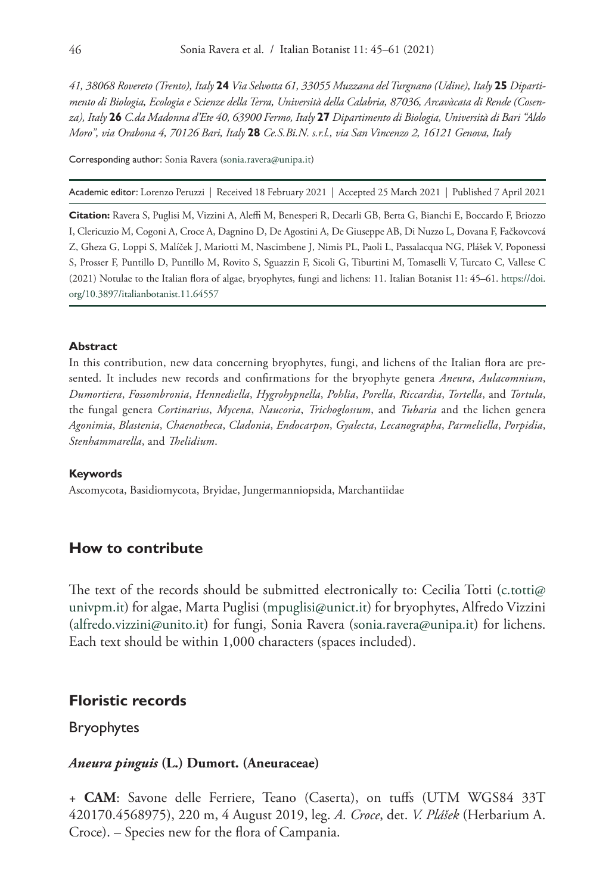*41, 38068 Rovereto (Trento), Italy* **24** *Via Selvotta 61, 33055 Muzzana del Turgnano (Udine), Italy* **25** *Dipartimento di Biologia, Ecologia e Scienze della Terra, Università della Calabria, 87036, Arcavàcata di Rende (Cosenza), Italy* **26** *C.da Madonna d'Ete 40, 63900 Fermo, Italy* **27** *Dipartimento di Biologia, Università di Bari "Aldo Moro", via Orabona 4, 70126 Bari, Italy* **28** *Ce.S.Bi.N. s.r.l., via San Vincenzo 2, 16121 Genova, Italy*

Corresponding author: Sonia Ravera [\(sonia.ravera@unipa.it\)](mailto:sonia.ravera@unipa.it)

Academic editor: Lorenzo Peruzzi | Received 18 February 2021 | Accepted 25 March 2021 | Published 7 April 2021

**Citation:** Ravera S, Puglisi M, Vizzini A, Aleffi M, Benesperi R, Decarli GB, Berta G, Bianchi E, Boccardo F, Briozzo I, Clericuzio M, Cogoni A, Croce A, Dagnino D, De Agostini A, De Giuseppe AB, Di Nuzzo L, Dovana F, Fačkovcová Z, Gheza G, Loppi S, Malíček J, Mariotti M, Nascimbene J, Nimis PL, Paoli L, Passalacqua NG, Plášek V, Poponessi S, Prosser F, Puntillo D, Puntillo M, Rovito S, Sguazzin F, Sicoli G, Tiburtini M, Tomaselli V, Turcato C, Vallese C (2021) Notulae to the Italian flora of algae, bryophytes, fungi and lichens: 11. Italian Botanist 11: 45–61. [https://doi.](https://doi.org/%18) [org/10.3897/italianbotanist.11.64557](https://doi.org/%18)

#### **Abstract**

In this contribution, new data concerning bryophytes, fungi, and lichens of the Italian flora are presented. It includes new records and confirmations for the bryophyte genera *Aneura*, *Aulacomnium*, *Dumortiera*, *Fossombronia*, *Hennediella*, *Hygrohypnella*, *Pohlia*, *Porella*, *Riccardia*, *Tortella*, and *Tortula*, the fungal genera *Cortinarius*, *Mycena*, *Naucoria*, *Trichoglossum*, and *Tubaria* and the lichen genera *Agonimia*, *Blastenia*, *Chaenotheca*, *Cladonia*, *Endocarpon*, *Gyalecta*, *Lecanographa*, *Parmeliella*, *Porpidia*, *Stenhammarella*, and *Thelidium*.

#### **Keywords**

Ascomycota, Basidiomycota, Bryidae, Jungermanniopsida, Marchantiidae

#### **How to contribute**

The text of the records should be submitted electronically to: Cecilia Totti [\(c.totti@](mailto:c.totti@univpm.it)) [univpm.it\)](mailto:c.totti@univpm.it) for algae, Marta Puglisi [\(mpuglisi@unict.it](mailto:mpuglisi@unict.it)) for bryophytes, Alfredo Vizzini ([alfredo.vizzini@unito.it](mailto:alfredo.vizzini@unito.it)) for fungi, Sonia Ravera [\(sonia.ravera@unipa.it\)](mailto:sonia.ravera@unipa.it) for lichens. Each text should be within 1,000 characters (spaces included).

## **Floristic records**

Bryophytes

#### *Aneura pinguis* **(L.) Dumort. (Aneuraceae)**

+ **CAM**: Savone delle Ferriere, Teano (Caserta), on tuffs (UTM WGS84 33T 420170.4568975), 220 m, 4 August 2019, leg. *A. Croce*, det. *V. Plášek* (Herbarium A. Croce). – Species new for the flora of Campania.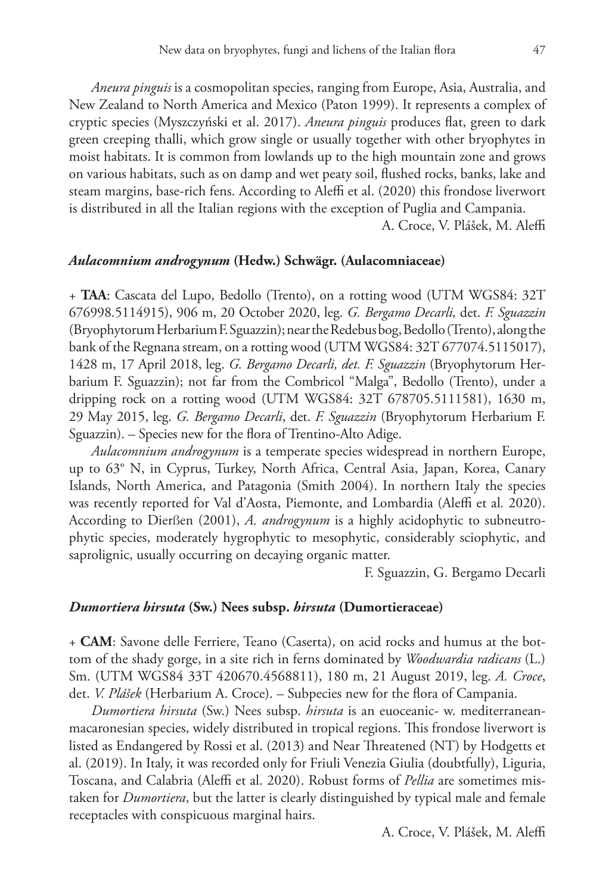*Aneura pinguis* is a cosmopolitan species, ranging from Europe, Asia, Australia, and New Zealand to North America and Mexico (Paton 1999). It represents a complex of cryptic species (Myszczyński et al. 2017). *Aneura pinguis* produces flat, green to dark green creeping thalli, which grow single or usually together with other bryophytes in moist habitats. It is common from lowlands up to the high mountain zone and grows on various habitats, such as on damp and wet peaty soil, flushed rocks, banks, lake and steam margins, base-rich fens. According to Aleffi et al. (2020) this frondose liverwort is distributed in all the Italian regions with the exception of Puglia and Campania.

A. Croce, V. Plášek, M. Aleffi

### *Aulacomnium androgynum* **(Hedw.) Schwägr. (Aulacomniaceae)**

+ **TAA**: Cascata del Lupo, Bedollo (Trento), on a rotting wood (UTM WGS84: 32T 676998.5114915), 906 m, 20 October 2020, leg. *G. Bergamo Decarli,* det. *F. Sguazzin*  (Bryophytorum Herbarium F. Sguazzin); near the Redebus bog, Bedollo (Trento), along the bank of the Regnana stream, on a rotting wood (UTM WGS84: 32T 677074.5115017), 1428 m, 17 April 2018, leg. *G. Bergamo Decarli, det. F. Sguazzin* (Bryophytorum Herbarium F. Sguazzin); not far from the Combricol "Malga", Bedollo (Trento), under a dripping rock on a rotting wood (UTM WGS84: 32T 678705.5111581), 1630 m, 29 May 2015, leg. *G. Bergamo Decarli*, det. *F. Sguazzin* (Bryophytorum Herbarium F. Sguazzin). – Species new for the flora of Trentino-Alto Adige.

*Aulacomnium androgynum* is a temperate species widespread in northern Europe, up to 63° N, in Cyprus, Turkey, North Africa, Central Asia, Japan, Korea, Canary Islands, North America, and Patagonia (Smith 2004). In northern Italy the species was recently reported for Val d'Aosta, Piemonte, and Lombardia (Aleffi et al*.* 2020). According to Dierßen (2001), *A. androgynum* is a highly acidophytic to subneutrophytic species, moderately hygrophytic to mesophytic, considerably sciophytic, and saprolignic, usually occurring on decaying organic matter.

F. Sguazzin, G. Bergamo Decarli

#### *Dumortiera hirsuta* **(Sw.) Nees subsp.** *hirsuta* **(Dumortieraceae)**

+ **CAM**: Savone delle Ferriere, Teano (Caserta), on acid rocks and humus at the bottom of the shady gorge, in a site rich in ferns dominated by *Woodwardia radicans* (L.) Sm. (UTM WGS84 33T 420670.4568811), 180 m, 21 August 2019, leg. *A. Croce*, det. *V. Plášek* (Herbarium A. Croce). – Subpecies new for the flora of Campania.

*Dumortiera hirsuta* (Sw.) Nees subsp. *hirsuta* is an euoceanic- w. mediterraneanmacaronesian species, widely distributed in tropical regions. This frondose liverwort is listed as Endangered by Rossi et al. (2013) and Near Threatened (NT) by Hodgetts et al. (2019). In Italy, it was recorded only for Friuli Venezia Giulia (doubtfully), Liguria, Toscana, and Calabria (Aleffi et al. 2020). Robust forms of *Pellia* are sometimes mistaken for *Dumortiera*, but the latter is clearly distinguished by typical male and female receptacles with conspicuous marginal hairs.

A. Croce, V. Plášek, M. Aleffi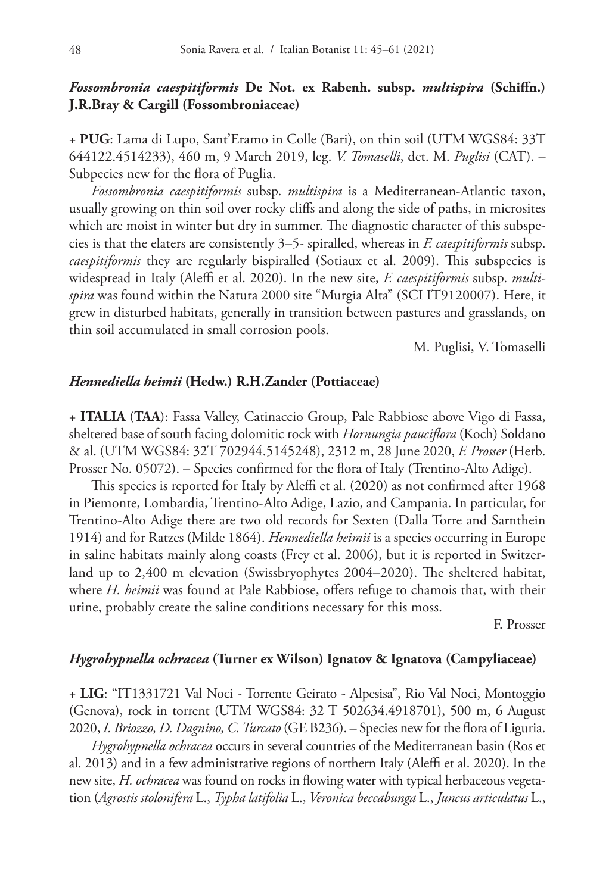## *Fossombronia caespitiformis* **De Not. ex Rabenh. subsp.** *multispira* **(Schiffn.) J.R.Bray & Cargill (Fossombroniaceae)**

+ **PUG**: Lama di Lupo, Sant'Eramo in Colle (Bari), on thin soil (UTM WGS84: 33T 644122.4514233), 460 m, 9 March 2019, leg. *V. Tomaselli*, det. M. *Puglisi* (CAT). – Subpecies new for the flora of Puglia.

*Fossombronia caespitiformis* subsp. *multispira* is a Mediterranean-Atlantic taxon, usually growing on thin soil over rocky cliffs and along the side of paths, in microsites which are moist in winter but dry in summer. The diagnostic character of this subspecies is that the elaters are consistently 3–5- spiralled, whereas in *F. caespitiformis* subsp. *caespitiformis* they are regularly bispiralled (Sotiaux et al. 2009). This subspecies is widespread in Italy (Aleffi et al. 2020). In the new site, *F. caespitiformis* subsp. *multispira* was found within the Natura 2000 site "Murgia Alta" (SCI IT9120007). Here, it grew in disturbed habitats, generally in transition between pastures and grasslands, on thin soil accumulated in small corrosion pools.

M. Puglisi, V. Tomaselli

#### *Hennediella heimii* **(Hedw.) R.H.Zander (Pottiaceae)**

+ **ITALIA** (**TAA**): Fassa Valley, Catinaccio Group, Pale Rabbiose above Vigo di Fassa, sheltered base of south facing dolomitic rock with *Hornungia pauciflora* (Koch) Soldano & al. (UTM WGS84: 32T 702944.5145248), 2312 m, 28 June 2020, *F. Prosser* (Herb. Prosser No. 05072). – Species confirmed for the flora of Italy (Trentino-Alto Adige).

This species is reported for Italy by Aleffi et al. (2020) as not confirmed after 1968 in Piemonte, Lombardia, Trentino-Alto Adige, Lazio, and Campania. In particular, for Trentino-Alto Adige there are two old records for Sexten (Dalla Torre and Sarnthein 1914) and for Ratzes (Milde 1864). *Hennediella heimii* is a species occurring in Europe in saline habitats mainly along coasts (Frey et al. 2006), but it is reported in Switzerland up to 2,400 m elevation (Swissbryophytes 2004–2020). The sheltered habitat, where *H. heimii* was found at Pale Rabbiose, offers refuge to chamois that, with their urine, probably create the saline conditions necessary for this moss.

F. Prosser

## *Hygrohypnella ochracea* **(Turner ex Wilson) Ignatov & Ignatova (Campyliaceae)**

+ **LIG**: "IT1331721 Val Noci - Torrente Geirato - Alpesisa", Rio Val Noci, Montoggio (Genova), rock in torrent (UTM WGS84: 32 T 502634.4918701), 500 m, 6 August 2020, *I. Briozzo, D. Dagnino, C. Turcato* (GE B236). – Species new for the flora of Liguria.

*Hygrohypnella ochracea* occurs in several countries of the Mediterranean basin (Ros et al. 2013) and in a few administrative regions of northern Italy (Aleffi et al. 2020). In the new site, *H. ochracea* was found on rocks in flowing water with typical herbaceous vegetation (*Agrostis stolonifera* L., *Typha latifolia* L., *Veronica beccabunga* L., *Juncus articulatus* L.,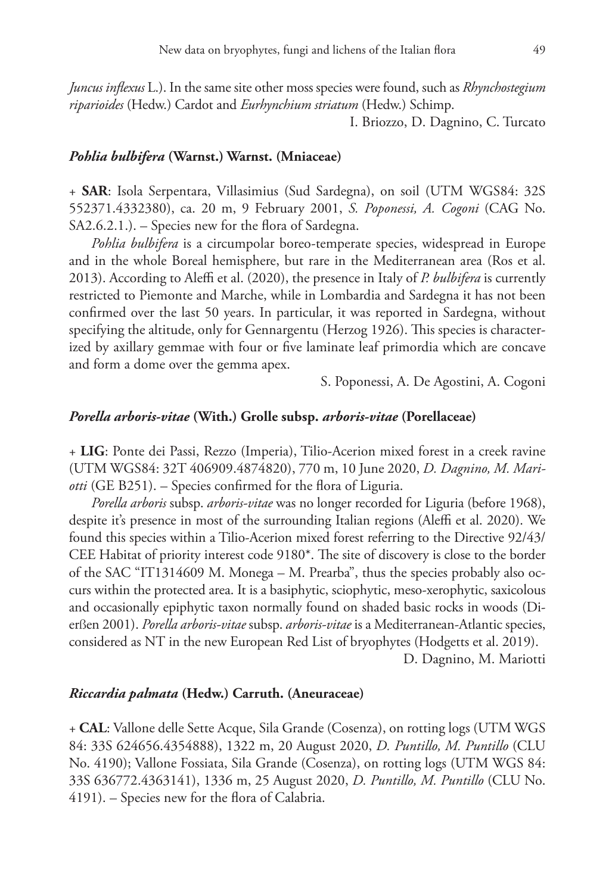*Juncus inflexus* L.). In the same site other moss species were found, such as *Rhynchostegium riparioides* (Hedw.) Cardot and *Eurhynchium striatum* (Hedw.) Schimp.

I. Briozzo, D. Dagnino, C. Turcato

#### *Pohlia bulbifera* **(Warnst.) Warnst. (Mniaceae)**

+ **SAR**: Isola Serpentara, Villasimius (Sud Sardegna), on soil (UTM WGS84: 32S 552371.4332380), ca. 20 m, 9 February 2001, *S. Poponessi, A. Cogoni* (CAG No. SA2.6.2.1.). – Species new for the flora of Sardegna.

*Pohlia bulbifera* is a circumpolar boreo-temperate species, widespread in Europe and in the whole Boreal hemisphere, but rare in the Mediterranean area (Ros et al. 2013). According to Aleffi et al. (2020), the presence in Italy of *P. bulbifera* is currently restricted to Piemonte and Marche, while in Lombardia and Sardegna it has not been confirmed over the last 50 years. In particular, it was reported in Sardegna, without specifying the altitude, only for Gennargentu (Herzog 1926). This species is characterized by axillary gemmae with four or five laminate leaf primordia which are concave and form a dome over the gemma apex.

S. Poponessi, A. De Agostini, A. Cogoni

#### *Porella arboris-vitae* **(With.) Grolle subsp.** *arboris-vitae* **(Porellaceae)**

+ **LIG**: Ponte dei Passi, Rezzo (Imperia), Tilio-Acerion mixed forest in a creek ravine (UTM WGS84: 32T 406909.4874820), 770 m, 10 June 2020, *D. Dagnino, M. Mariotti* (GE B251). – Species confirmed for the flora of Liguria.

*Porella arboris* subsp. *arboris-vitae* was no longer recorded for Liguria (before 1968), despite it's presence in most of the surrounding Italian regions (Aleffi et al. 2020). We found this species within a Tilio-Acerion mixed forest referring to the Directive 92/43/ CEE Habitat of priority interest code 9180\*. The site of discovery is close to the border of the SAC "IT1314609 M. Monega – M. Prearba", thus the species probably also occurs within the protected area. It is a basiphytic, sciophytic, meso-xerophytic, saxicolous and occasionally epiphytic taxon normally found on shaded basic rocks in woods (Dierßen 2001). *Porella arboris-vitae* subsp. *arboris-vitae* is a Mediterranean-Atlantic species, considered as NT in the new European Red List of bryophytes (Hodgetts et al. 2019).

D. Dagnino, M. Mariotti

#### *Riccardia palmata* **(Hedw.) Carruth. (Aneuraceae)**

+ **CAL**: Vallone delle Sette Acque, Sila Grande (Cosenza), on rotting logs (UTM WGS 84: 33S 624656.4354888), 1322 m, 20 August 2020, *D. Puntillo, M. Puntillo* (CLU No. 4190); Vallone Fossiata, Sila Grande (Cosenza), on rotting logs (UTM WGS 84: 33S 636772.4363141), 1336 m, 25 August 2020, *D. Puntillo, M. Puntillo* (CLU No. 4191). – Species new for the flora of Calabria.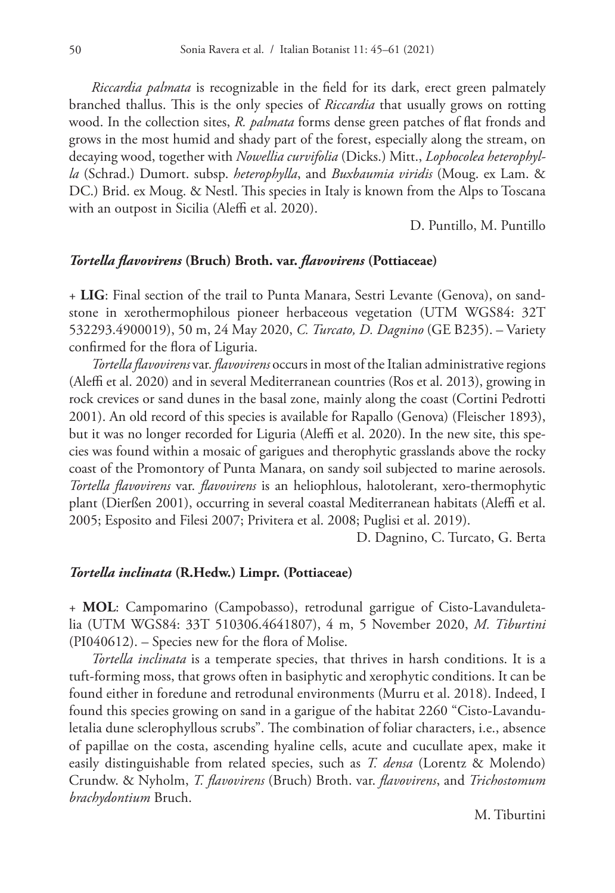*Riccardia palmata* is recognizable in the field for its dark, erect green palmately branched thallus. This is the only species of *Riccardia* that usually grows on rotting wood. In the collection sites, *R. palmata* forms dense green patches of flat fronds and grows in the most humid and shady part of the forest, especially along the stream, on decaying wood, together with *Nowellia curvifolia* (Dicks.) Mitt., *Lophocolea heterophylla* (Schrad.) Dumort. subsp. *heterophylla*, and *Buxbaumia viridis* (Moug. ex Lam. & DC.) Brid. ex Moug. & Nestl. This species in Italy is known from the Alps to Toscana with an outpost in Sicilia (Aleffi et al. 2020).

D. Puntillo, M. Puntillo

## *Tortella flavovirens* **(Bruch) Broth. var.** *flavovirens* **(Pottiaceae)**

+ **LIG**: Final section of the trail to Punta Manara, Sestri Levante (Genova), on sandstone in xerothermophilous pioneer herbaceous vegetation (UTM WGS84: 32T 532293.4900019), 50 m, 24 May 2020, *C. Turcato, D. Dagnino* (GE B235). – Variety confirmed for the flora of Liguria.

*Tortella flavovirens* var. *flavovirens* occurs in most of the Italian administrative regions (Aleffi et al. 2020) and in several Mediterranean countries (Ros et al. 2013), growing in rock crevices or sand dunes in the basal zone, mainly along the coast (Cortini Pedrotti 2001). An old record of this species is available for Rapallo (Genova) (Fleischer 1893), but it was no longer recorded for Liguria (Aleffi et al. 2020). In the new site, this species was found within a mosaic of garigues and therophytic grasslands above the rocky coast of the Promontory of Punta Manara, on sandy soil subjected to marine aerosols. *Tortella flavovirens* var. *flavovirens* is an heliophlous, halotolerant, xero-thermophytic plant (Dierßen 2001), occurring in several coastal Mediterranean habitats (Aleffi et al. 2005; Esposito and Filesi 2007; Privitera et al. 2008; Puglisi et al. 2019).

D. Dagnino, C. Turcato, G. Berta

#### *Tortella inclinata* **(R.Hedw.) Limpr. (Pottiaceae)**

+ **MOL**: Campomarino (Campobasso), retrodunal garrigue of Cisto-Lavanduletalia (UTM WGS84: 33T 510306.4641807), 4 m, 5 November 2020, *M. Tiburtini* (PI040612). – Species new for the flora of Molise.

*Tortella inclinata* is a temperate species, that thrives in harsh conditions. It is a tuft-forming moss, that grows often in basiphytic and xerophytic conditions. It can be found either in foredune and retrodunal environments (Murru et al. 2018). Indeed, I found this species growing on sand in a garigue of the habitat 2260 "Cisto-Lavanduletalia dune sclerophyllous scrubs". The combination of foliar characters, i.e., absence of papillae on the costa, ascending hyaline cells, acute and cucullate apex, make it easily distinguishable from related species, such as *T. densa* (Lorentz & Molendo) Crundw. & Nyholm, *T. flavovirens* (Bruch) Broth. var. *flavovirens*, and *Trichostomum brachydontium* Bruch.

M. Tiburtini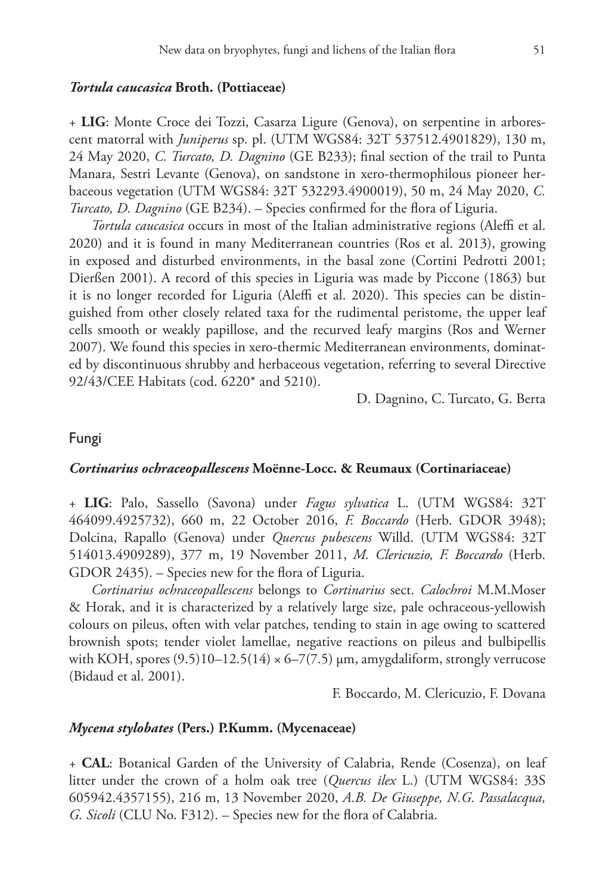#### *Tortula caucasica* **Broth. (Pottiaceae)**

+ **LIG**: Monte Croce dei Tozzi, Casarza Ligure (Genova), on serpentine in arborescent matorral with *Juniperus* sp. pl. (UTM WGS84: 32T 537512.4901829), 130 m, 24 May 2020, *C. Turcato, D. Dagnino* (GE B233); final section of the trail to Punta Manara, Sestri Levante (Genova), on sandstone in xero-thermophilous pioneer herbaceous vegetation (UTM WGS84: 32T 532293.4900019), 50 m, 24 May 2020, *C. Turcato, D. Dagnino* (GE B234). – Species confirmed for the flora of Liguria.

*Tortula caucasica* occurs in most of the Italian administrative regions (Aleffi et al. 2020) and it is found in many Mediterranean countries (Ros et al. 2013), growing in exposed and disturbed environments, in the basal zone (Cortini Pedrotti 2001; Dierßen 2001). A record of this species in Liguria was made by Piccone (1863) but it is no longer recorded for Liguria (Aleffi et al. 2020). This species can be distinguished from other closely related taxa for the rudimental peristome, the upper leaf cells smooth or weakly papillose, and the recurved leafy margins (Ros and Werner 2007). We found this species in xero-thermic Mediterranean environments, dominated by discontinuous shrubby and herbaceous vegetation, referring to several Directive 92/43/CEE Habitats (cod. 6220\* and 5210).

D. Dagnino, C. Turcato, G. Berta

## Fungi

#### *Cortinarius ochraceopallescens* **Moënne-Locc. & Reumaux (Cortinariaceae)**

+ **LIG**: Palo, Sassello (Savona) under *Fagus sylvatica* L. (UTM WGS84: 32T 464099.4925732), 660 m, 22 October 2016, *F. Boccardo* (Herb. GDOR 3948); Dolcina, Rapallo (Genova) under *Quercus pubescens* Willd. (UTM WGS84: 32T 514013.4909289), 377 m, 19 November 2011, *M. Clericuzio, F. Boccardo* (Herb. GDOR 2435). – Species new for the flora of Liguria.

*Cortinarius ochraceopallescens* belongs to *Cortinarius* sect. *Calochroi* M.M.Moser & Horak, and it is characterized by a relatively large size, pale ochraceous-yellowish colours on pileus, often with velar patches, tending to stain in age owing to scattered brownish spots; tender violet lamellae, negative reactions on pileus and bulbipellis with KOH, spores  $(9.5)10-12.5(14) \times 6-7(7.5)$  µm, amygdaliform, strongly verrucose (Bidaud et al. 2001).

F. Boccardo, M. Clericuzio, F. Dovana

#### *Mycena stylobates* **(Pers.) P.Kumm. (Mycenaceae)**

+ **CAL**: Botanical Garden of the University of Calabria, Rende (Cosenza), on leaf litter under the crown of a holm oak tree (*Quercus ilex* L.) (UTM WGS84: 33S 605942.4357155), 216 m, 13 November 2020, *A.B. De Giuseppe, N.G. Passalacqua, G. Sicoli* (CLU No. F312). – Species new for the flora of Calabria.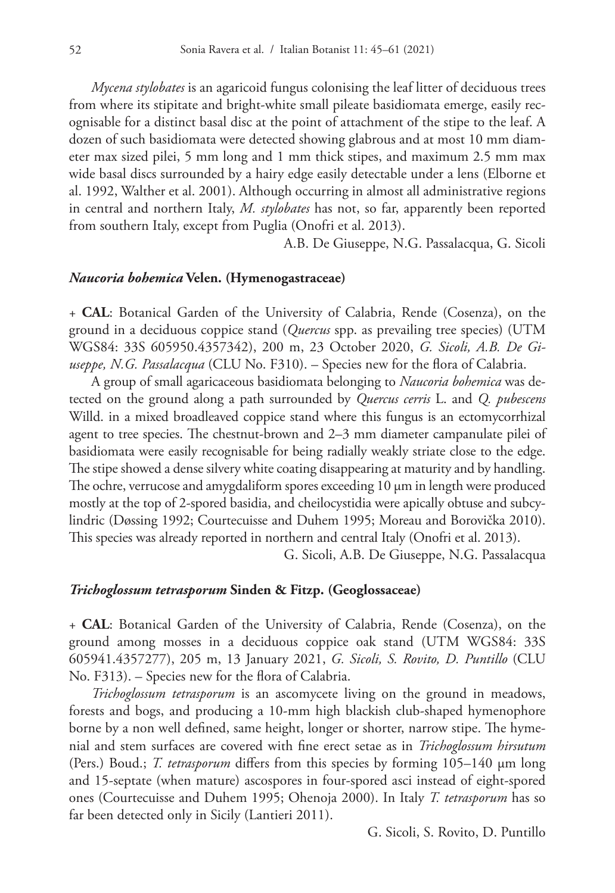*Mycena stylobates* is an agaricoid fungus colonising the leaf litter of deciduous trees from where its stipitate and bright-white small pileate basidiomata emerge, easily recognisable for a distinct basal disc at the point of attachment of the stipe to the leaf. A dozen of such basidiomata were detected showing glabrous and at most 10 mm diameter max sized pilei, 5 mm long and 1 mm thick stipes, and maximum 2.5 mm max wide basal discs surrounded by a hairy edge easily detectable under a lens (Elborne et al. 1992, Walther et al. 2001). Although occurring in almost all administrative regions in central and northern Italy, *M. stylobates* has not, so far, apparently been reported from southern Italy, except from Puglia (Onofri et al. 2013).

A.B. De Giuseppe, N.G. Passalacqua, G. Sicoli

#### *Naucoria bohemica* **Velen. (Hymenogastraceae)**

+ **CAL**: Botanical Garden of the University of Calabria, Rende (Cosenza), on the ground in a deciduous coppice stand (*Quercus* spp. as prevailing tree species) (UTM WGS84: 33S 605950.4357342), 200 m, 23 October 2020, *G. Sicoli, A.B. De Giuseppe, N.G. Passalacqua* (CLU No. F310). – Species new for the flora of Calabria.

A group of small agaricaceous basidiomata belonging to *Naucoria bohemica* was detected on the ground along a path surrounded by *Quercus cerris* L. and *Q. pubescens* Willd. in a mixed broadleaved coppice stand where this fungus is an ectomycorrhizal agent to tree species. The chestnut-brown and 2–3 mm diameter campanulate pilei of basidiomata were easily recognisable for being radially weakly striate close to the edge. The stipe showed a dense silvery white coating disappearing at maturity and by handling. The ochre, verrucose and amygdaliform spores exceeding  $10 \mu m$  in length were produced mostly at the top of 2-spored basidia, and cheilocystidia were apically obtuse and subcylindric (Døssing 1992; Courtecuisse and Duhem 1995; Moreau and Borovička 2010). This species was already reported in northern and central Italy (Onofri et al. 2013).

G. Sicoli, A.B. De Giuseppe, N.G. Passalacqua

## *Trichoglossum tetrasporum* **Sinden & Fitzp. (Geoglossaceae)**

+ **CAL**: Botanical Garden of the University of Calabria, Rende (Cosenza), on the ground among mosses in a deciduous coppice oak stand (UTM WGS84: 33S 605941.4357277), 205 m, 13 January 2021, *G. Sicoli, S. Rovito, D. Puntillo* (CLU No. F313). – Species new for the flora of Calabria.

*Trichoglossum tetrasporum* is an ascomycete living on the ground in meadows, forests and bogs, and producing a 10-mm high blackish club-shaped hymenophore borne by a non well defined, same height, longer or shorter, narrow stipe. The hymenial and stem surfaces are covered with fine erect setae as in *Trichoglossum hirsutum* (Pers.) Boud.; *T. tetrasporum* differs from this species by forming 105–140 µm long and 15-septate (when mature) ascospores in four-spored asci instead of eight-spored ones (Courtecuisse and Duhem 1995; Ohenoja 2000). In Italy *T. tetrasporum* has so far been detected only in Sicily (Lantieri 2011).

G. Sicoli, S. Rovito, D. Puntillo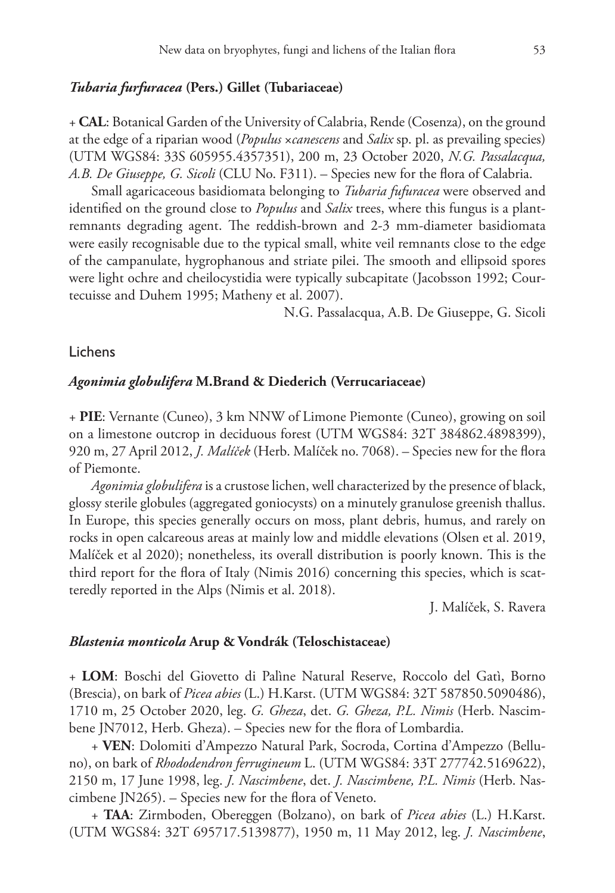#### *Tubaria furfuracea* **(Pers.) Gillet (Tubariaceae)**

+ **CAL**: Botanical Garden of the University of Calabria, Rende (Cosenza), on the ground at the edge of a riparian wood (*Populus* ×*canescens* and *Salix* sp. pl. as prevailing species) (UTM WGS84: 33S 605955.4357351), 200 m, 23 October 2020, *N.G. Passalacqua, A.B. De Giuseppe, G. Sicoli* (CLU No. F311). – Species new for the flora of Calabria.

Small agaricaceous basidiomata belonging to *Tubaria fufuracea* were observed and identified on the ground close to *Populus* and *Salix* trees, where this fungus is a plantremnants degrading agent. The reddish-brown and 2-3 mm-diameter basidiomata were easily recognisable due to the typical small, white veil remnants close to the edge of the campanulate, hygrophanous and striate pilei. The smooth and ellipsoid spores were light ochre and cheilocystidia were typically subcapitate (Jacobsson 1992; Courtecuisse and Duhem 1995; Matheny et al. 2007).

N.G. Passalacqua, A.B. De Giuseppe, G. Sicoli

## Lichens

#### *Agonimia globulifera* **M.Brand & Diederich (Verrucariaceae)**

+ **PIE**: Vernante (Cuneo), 3 km NNW of Limone Piemonte (Cuneo), growing on soil on a limestone outcrop in deciduous forest (UTM WGS84: 32T 384862.4898399), 920 m, 27 April 2012, *J. Malíček* (Herb. Malíček no. 7068). – Species new for the flora of Piemonte.

*Agonimia globulifera* is a crustose lichen, well characterized by the presence of black, glossy sterile globules (aggregated goniocysts) on a minutely granulose greenish thallus. In Europe, this species generally occurs on moss, plant debris, humus, and rarely on rocks in open calcareous areas at mainly low and middle elevations (Olsen et al. 2019, Malíček et al 2020); nonetheless, its overall distribution is poorly known. This is the third report for the flora of Italy (Nimis 2016) concerning this species, which is scatteredly reported in the Alps (Nimis et al. 2018).

J. Malíček, S. Ravera

## *Blastenia monticola* **Arup & Vondrák (Teloschistaceae)**

+ **LOM**: Boschi del Giovetto di Palìne Natural Reserve, Roccolo del Gatì, Borno (Brescia), on bark of *Picea abies* (L.) H.Karst. (UTM WGS84: 32T 587850.5090486), 1710 m, 25 October 2020, leg. *G. Gheza*, det. *G. Gheza, P.L. Nimis* (Herb. Nascimbene JN7012, Herb. Gheza). – Species new for the flora of Lombardia.

+ **VEN**: Dolomiti d'Ampezzo Natural Park, Socroda, Cortina d'Ampezzo (Belluno), on bark of *Rhododendron ferrugineum* L. (UTM WGS84: 33T 277742.5169622), 2150 m, 17 June 1998, leg. *J. Nascimbene*, det. *J. Nascimbene, P.L. Nimis* (Herb. Nascimbene JN265). – Species new for the flora of Veneto.

+ **TAA**: Zirmboden, Obereggen (Bolzano), on bark of *Picea abies* (L.) H.Karst. (UTM WGS84: 32T 695717.5139877), 1950 m, 11 May 2012, leg. *J. Nascimbene*,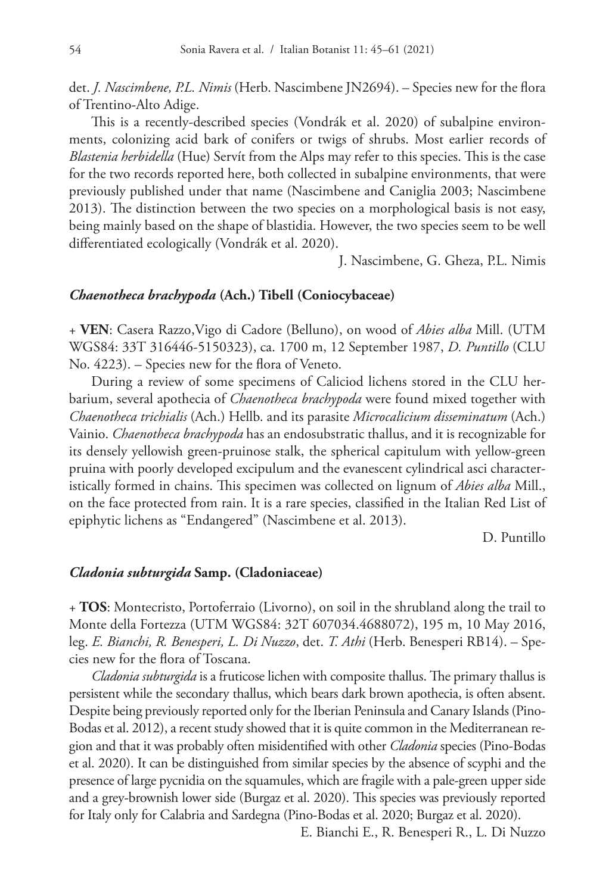det. *J. Nascimbene, P.L. Nimis* (Herb. Nascimbene JN2694). – Species new for the flora of Trentino-Alto Adige.

This is a recently-described species (Vondrák et al. 2020) of subalpine environments, colonizing acid bark of conifers or twigs of shrubs. Most earlier records of *Blastenia herbidella* (Hue) Servít from the Alps may refer to this species. This is the case for the two records reported here, both collected in subalpine environments, that were previously published under that name (Nascimbene and Caniglia 2003; Nascimbene 2013). The distinction between the two species on a morphological basis is not easy, being mainly based on the shape of blastidia. However, the two species seem to be well differentiated ecologically (Vondrák et al. 2020).

J. Nascimbene, G. Gheza, P.L. Nimis

## *Chaenotheca brachypoda* **(Ach.) Tibell (Coniocybaceae)**

+ **VEN**: Casera Razzo,Vigo di Cadore (Belluno), on wood of *Abies alba* Mill. (UTM WGS84: 33T 316446-5150323), ca. 1700 m, 12 September 1987, *D. Puntillo* (CLU No. 4223). – Species new for the flora of Veneto.

During a review of some specimens of Caliciod lichens stored in the CLU herbarium, several apothecia of *Chaenotheca brachypoda* were found mixed together with *Chaenotheca trichialis* (Ach.) Hellb. and its parasite *Microcalicium disseminatum* (Ach.) Vainio. *Chaenotheca brachypoda* has an endosubstratic thallus, and it is recognizable for its densely yellowish green-pruinose stalk, the spherical capitulum with yellow-green pruina with poorly developed excipulum and the evanescent cylindrical asci characteristically formed in chains. This specimen was collected on lignum of *Abies alba* Mill., on the face protected from rain. It is a rare species, classified in the Italian Red List of epiphytic lichens as "Endangered" (Nascimbene et al. 2013).

D. Puntillo

#### *Cladonia subturgida* **Samp. (Cladoniaceae)**

+ **TOS**: Montecristo, Portoferraio (Livorno), on soil in the shrubland along the trail to Monte della Fortezza (UTM WGS84: 32T 607034.4688072), 195 m, 10 May 2016, leg. *E. Bianchi, R. Benesperi, L. Di Nuzzo*, det. *T. Athi* (Herb. Benesperi RB14). – Species new for the flora of Toscana.

*Cladonia subturgida* is a fruticose lichen with composite thallus. The primary thallus is persistent while the secondary thallus, which bears dark brown apothecia, is often absent. Despite being previously reported only for the Iberian Peninsula and Canary Islands (Pino-Bodas et al. 2012), a recent study showed that it is quite common in the Mediterranean region and that it was probably often misidentified with other *Cladonia* species (Pino-Bodas et al. 2020). It can be distinguished from similar species by the absence of scyphi and the presence of large pycnidia on the squamules, which are fragile with a pale-green upper side and a grey-brownish lower side (Burgaz et al. 2020). This species was previously reported for Italy only for Calabria and Sardegna (Pino-Bodas et al. 2020; Burgaz et al. 2020).

E. Bianchi E., R. Benesperi R., L. Di Nuzzo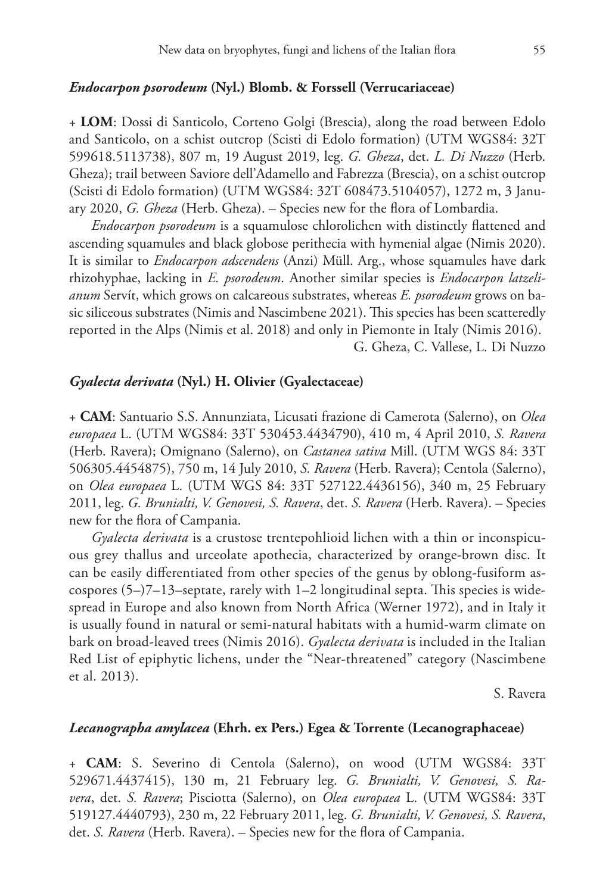#### *Endocarpon psorodeum* **(Nyl.) Blomb. & Forssell (Verrucariaceae)**

+ **LOM**: Dossi di Santicolo, Corteno Golgi (Brescia), along the road between Edolo and Santicolo, on a schist outcrop (Scisti di Edolo formation) (UTM WGS84: 32T 599618.5113738), 807 m, 19 August 2019, leg. *G. Gheza*, det. *L. Di Nuzzo* (Herb. Gheza); trail between Saviore dell'Adamello and Fabrezza (Brescia), on a schist outcrop (Scisti di Edolo formation) (UTM WGS84: 32T 608473.5104057), 1272 m, 3 January 2020, *G. Gheza* (Herb. Gheza). – Species new for the flora of Lombardia.

*Endocarpon psorodeum* is a squamulose chlorolichen with distinctly flattened and ascending squamules and black globose perithecia with hymenial algae (Nimis 2020). It is similar to *Endocarpon adscendens* (Anzi) Müll. Arg., whose squamules have dark rhizohyphae, lacking in *E. psorodeum*. Another similar species is *Endocarpon latzelianum* Servít, which grows on calcareous substrates, whereas *E. psorodeum* grows on basic siliceous substrates (Nimis and Nascimbene 2021). This species has been scatteredly reported in the Alps (Nimis et al. 2018) and only in Piemonte in Italy (Nimis 2016). G. Gheza, C. Vallese, L. Di Nuzzo

## *Gyalecta derivata* **(Nyl.) H. Olivier (Gyalectaceae)**

+ **CAM**: Santuario S.S. Annunziata, Licusati frazione di Camerota (Salerno), on *Olea europaea* L. (UTM WGS84: 33T 530453.4434790), 410 m, 4 April 2010, *S. Ravera* (Herb. Ravera); Omignano (Salerno), on *Castanea sativa* Mill. (UTM WGS 84: 33T 506305.4454875), 750 m, 14 July 2010, *S. Ravera* (Herb. Ravera); Centola (Salerno), on *Olea europaea* L. (UTM WGS 84: 33T 527122.4436156), 340 m, 25 February 2011, leg. *G. Brunialti, V. Genovesi, S. Ravera*, det. *S. Ravera* (Herb. Ravera). – Species new for the flora of Campania.

*Gyalecta derivata* is a crustose trentepohlioid lichen with a thin or inconspicuous grey thallus and urceolate apothecia, characterized by orange-brown disc. It can be easily differentiated from other species of the genus by oblong-fusiform ascospores  $(5-)$ 7–13–septate, rarely with 1–2 longitudinal septa. This species is widespread in Europe and also known from North Africa (Werner 1972), and in Italy it is usually found in natural or semi-natural habitats with a humid-warm climate on bark on broad-leaved trees (Nimis 2016). *Gyalecta derivata* is included in the Italian Red List of epiphytic lichens, under the "Near-threatened" category (Nascimbene et al. 2013).

S. Ravera

#### *Lecanographa amylacea* **(Ehrh. ex Pers.) Egea & Torrente (Lecanographaceae)**

+ **CAM**: S. Severino di Centola (Salerno), on wood (UTM WGS84: 33T 529671.4437415), 130 m, 21 February leg. *G. Brunialti, V. Genovesi, S. Ravera*, det. *S. Ravera*; Pisciotta (Salerno), on *Olea europaea* L. (UTM WGS84: 33T 519127.4440793), 230 m, 22 February 2011, leg. *G. Brunialti, V. Genovesi, S. Ravera*, det. *S. Ravera* (Herb. Ravera). – Species new for the flora of Campania.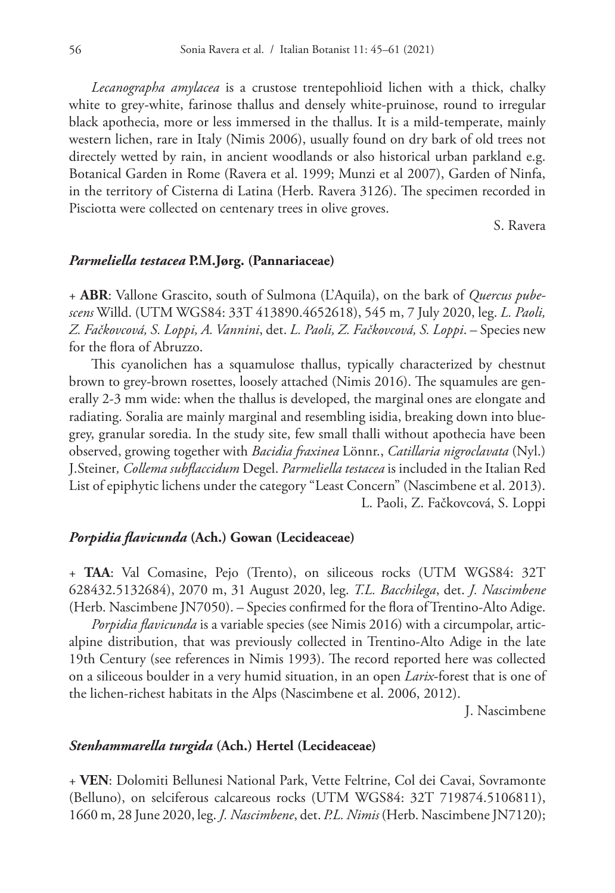*Lecanographa amylacea* is a crustose trentepohlioid lichen with a thick, chalky white to grey-white, farinose thallus and densely white-pruinose, round to irregular black apothecia, more or less immersed in the thallus. It is a mild-temperate, mainly western lichen, rare in Italy (Nimis 2006), usually found on dry bark of old trees not directely wetted by rain, in ancient woodlands or also historical urban parkland e.g. Botanical Garden in Rome (Ravera et al. 1999; Munzi et al 2007), Garden of Ninfa, in the territory of Cisterna di Latina (Herb. Ravera 3126). The specimen recorded in Pisciotta were collected on centenary trees in olive groves.

S. Ravera

#### *Parmeliella testacea* **P.M.Jørg. (Pannariaceae)**

+ **ABR**: Vallone Grascito, south of Sulmona (L'Aquila), on the bark of *Quercus pubescens* Willd. (UTM WGS84: 33T 413890.4652618), 545 m, 7 July 2020, leg. *L. Paoli, Z. Fačkovcová, S. Loppi, A. Vannini*, det. *L. Paoli, Z. Fačkovcová, S. Loppi*. – Species new for the flora of Abruzzo.

This cyanolichen has a squamulose thallus, typically characterized by chestnut brown to grey-brown rosettes, loosely attached (Nimis 2016). The squamules are generally 2-3 mm wide: when the thallus is developed, the marginal ones are elongate and radiating. Soralia are mainly marginal and resembling isidia, breaking down into bluegrey, granular soredia. In the study site, few small thalli without apothecia have been observed, growing together with *Bacidia fraxinea* Lönnr., *Catillaria nigroclavata* (Nyl.) J.Steiner*, Collema subflaccidum* Degel. *Parmeliella testacea* is included in the Italian Red List of epiphytic lichens under the category "Least Concern" (Nascimbene et al. 2013). L. Paoli, Z. Fačkovcová, S. Loppi

#### *Porpidia flavicunda* **(Ach.) Gowan (Lecideaceae)**

+ **TAA**: Val Comasine, Pejo (Trento), on siliceous rocks (UTM WGS84: 32T 628432.5132684), 2070 m, 31 August 2020, leg. *T.L. Bacchilega*, det. *J. Nascimbene* (Herb. Nascimbene JN7050). – Species confirmed for the flora of Trentino-Alto Adige.

*Porpidia flavicunda* is a variable species (see Nimis 2016) with a circumpolar, articalpine distribution, that was previously collected in Trentino-Alto Adige in the late 19th Century (see references in Nimis 1993). The record reported here was collected on a siliceous boulder in a very humid situation, in an open *Larix*-forest that is one of the lichen-richest habitats in the Alps (Nascimbene et al. 2006, 2012).

J. Nascimbene

## *Stenhammarella turgida* **(Ach.) Hertel (Lecideaceae)**

+ **VEN**: Dolomiti Bellunesi National Park, Vette Feltrine, Col dei Cavai, Sovramonte (Belluno), on selciferous calcareous rocks (UTM WGS84: 32T 719874.5106811), 1660 m, 28 June 2020, leg. *J. Nascimbene*, det. *P.L. Nimis* (Herb. Nascimbene JN7120);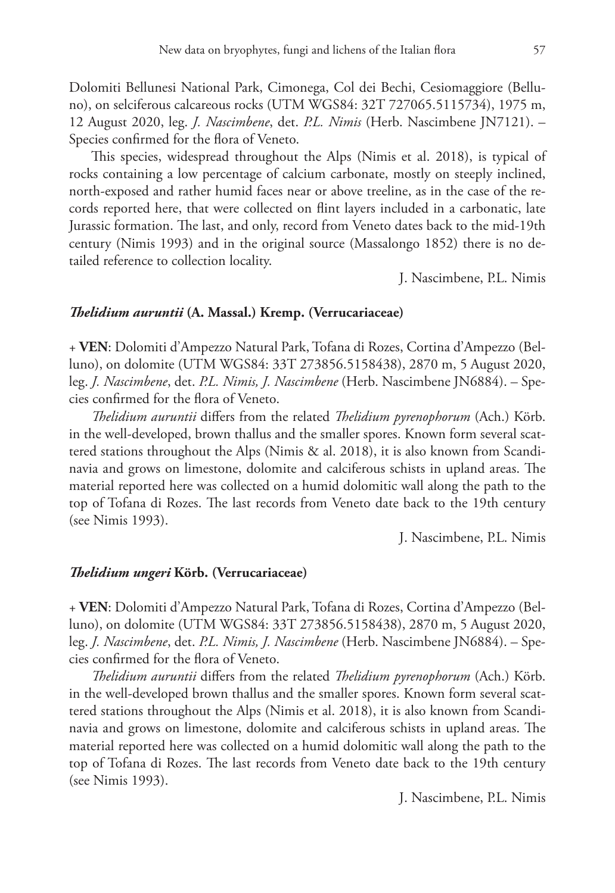Dolomiti Bellunesi National Park, Cimonega, Col dei Bechi, Cesiomaggiore (Belluno), on selciferous calcareous rocks (UTM WGS84: 32T 727065.5115734), 1975 m, 12 August 2020, leg. *J. Nascimbene*, det. *P.L. Nimis* (Herb. Nascimbene JN7121). – Species confirmed for the flora of Veneto.

This species, widespread throughout the Alps (Nimis et al. 2018), is typical of rocks containing a low percentage of calcium carbonate, mostly on steeply inclined, north-exposed and rather humid faces near or above treeline, as in the case of the records reported here, that were collected on flint layers included in a carbonatic, late Jurassic formation. The last, and only, record from Veneto dates back to the mid-19th century (Nimis 1993) and in the original source (Massalongo 1852) there is no detailed reference to collection locality.

J. Nascimbene, P.L. Nimis

#### *Thelidium auruntii* **(A. Massal.) Kremp. (Verrucariaceae)**

+ **VEN**: Dolomiti d'Ampezzo Natural Park, Tofana di Rozes, Cortina d'Ampezzo (Belluno), on dolomite (UTM WGS84: 33T 273856.5158438), 2870 m, 5 August 2020, leg. *J. Nascimbene*, det. *P.L. Nimis, J. Nascimbene* (Herb. Nascimbene JN6884). – Species confirmed for the flora of Veneto.

*Thelidium auruntii* differs from the related *Thelidium pyrenophorum* (Ach.) Körb. in the well-developed, brown thallus and the smaller spores. Known form several scattered stations throughout the Alps (Nimis & al. 2018), it is also known from Scandinavia and grows on limestone, dolomite and calciferous schists in upland areas. The material reported here was collected on a humid dolomitic wall along the path to the top of Tofana di Rozes. The last records from Veneto date back to the 19th century (see Nimis 1993).

J. Nascimbene, P.L. Nimis

#### *Thelidium ungeri* **Körb. (Verrucariaceae)**

+ **VEN**: Dolomiti d'Ampezzo Natural Park, Tofana di Rozes, Cortina d'Ampezzo (Belluno), on dolomite (UTM WGS84: 33T 273856.5158438), 2870 m, 5 August 2020, leg. *J. Nascimbene*, det. *P.L. Nimis, J. Nascimbene* (Herb. Nascimbene JN6884). – Species confirmed for the flora of Veneto.

*Thelidium auruntii* differs from the related *Thelidium pyrenophorum* (Ach.) Körb. in the well-developed brown thallus and the smaller spores. Known form several scattered stations throughout the Alps (Nimis et al. 2018), it is also known from Scandinavia and grows on limestone, dolomite and calciferous schists in upland areas. The material reported here was collected on a humid dolomitic wall along the path to the top of Tofana di Rozes. The last records from Veneto date back to the 19th century (see Nimis 1993).

J. Nascimbene, P.L. Nimis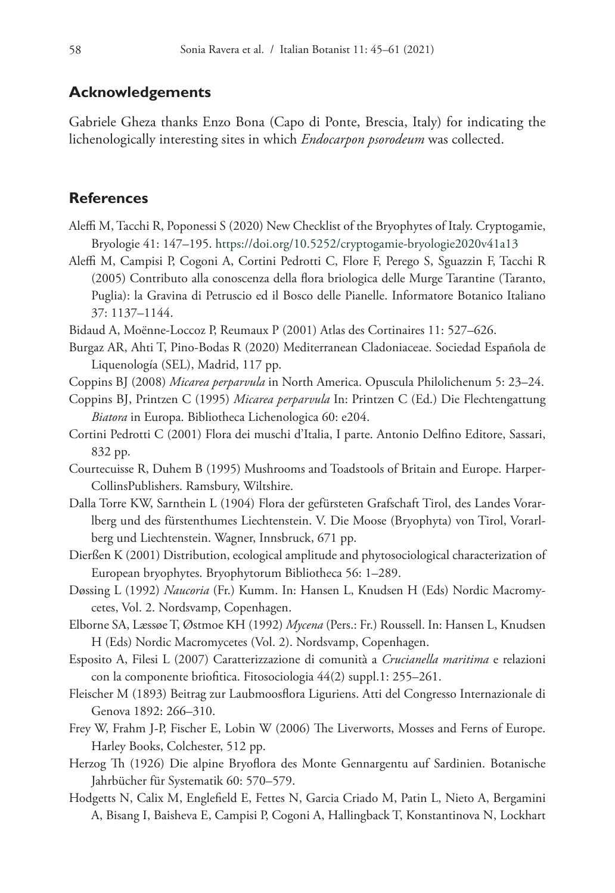## **Acknowledgements**

Gabriele Gheza thanks Enzo Bona (Capo di Ponte, Brescia, Italy) for indicating the lichenologically interesting sites in which *Endocarpon psorodeum* was collected.

## **References**

- Aleffi M, Tacchi R, Poponessi S (2020) New Checklist of the Bryophytes of Italy. Cryptogamie, Bryologie 41: 147–195. <https://doi.org/10.5252/cryptogamie-bryologie2020v41a13>
- Aleffi M, Campisi P, Cogoni A, Cortini Pedrotti C, Flore F, Perego S, Sguazzin F, Tacchi R (2005) Contributo alla conoscenza della flora briologica delle Murge Tarantine (Taranto, Puglia): la Gravina di Petruscio ed il Bosco delle Pianelle. Informatore Botanico Italiano 37: 1137–1144.
- Bidaud A, Moënne-Loccoz P, Reumaux P (2001) Atlas des Cortinaires 11: 527–626.
- Burgaz AR, Ahti T, Pino-Bodas R (2020) Mediterranean Cladoniaceae. Sociedad Española de Liquenología (SEL), Madrid, 117 pp.
- Coppins BJ (2008) *Micarea perparvula* in North America. Opuscula Philolichenum 5: 23–24.
- Coppins BJ, Printzen C (1995) *Micarea perparvula* In: Printzen C (Ed.) Die Flechtengattung *Biatora* in Europa. Bibliotheca Lichenologica 60: e204.
- Cortini Pedrotti C (2001) Flora dei muschi d'Italia, I parte. Antonio Delfino Editore, Sassari, 832 pp.
- Courtecuisse R, Duhem B (1995) Mushrooms and Toadstools of Britain and Europe. Harper-CollinsPublishers. Ramsbury, Wiltshire.
- Dalla Torre KW, Sarnthein L (1904) Flora der gefürsteten Grafschaft Tirol, des Landes Vorarlberg und des fürstenthumes Liechtenstein. V. Die Moose (Bryophyta) von Tirol, Vorarlberg und Liechtenstein. Wagner, Innsbruck, 671 pp.
- Dierßen K (2001) Distribution, ecological amplitude and phytosociological characterization of European bryophytes. Bryophytorum Bibliotheca 56: 1–289.
- Døssing L (1992) *Naucoria* (Fr.) Kumm. In: Hansen L, Knudsen H (Eds) Nordic Macromycetes, Vol. 2. Nordsvamp, Copenhagen.
- Elborne SA, Læssøe T, Østmoe KH (1992) *Mycena* (Pers.: Fr.) Roussell. In: Hansen L, Knudsen H (Eds) Nordic Macromycetes (Vol. 2). Nordsvamp, Copenhagen.
- Esposito A, Filesi L (2007) Caratterizzazione di comunità a *Crucianella maritima* e relazioni con la componente briofitica. Fitosociologia 44(2) suppl.1: 255–261.
- Fleischer M (1893) Beitrag zur Laubmoosflora Liguriens. Atti del Congresso Internazionale di Genova 1892: 266–310.
- Frey W, Frahm J-P, Fischer E, Lobin W (2006) The Liverworts, Mosses and Ferns of Europe. Harley Books, Colchester, 512 pp.
- Herzog Th (1926) Die alpine Bryoflora des Monte Gennargentu auf Sardinien. Botanische Jahrbücher für Systematik 60: 570–579.
- Hodgetts N, Calix M, Englefield E, Fettes N, Garcia Criado M, Patin L, Nieto A, Bergamini A, Bisang I, Baisheva E, Campisi P, Cogoni A, Hallingback T, Konstantinova N, Lockhart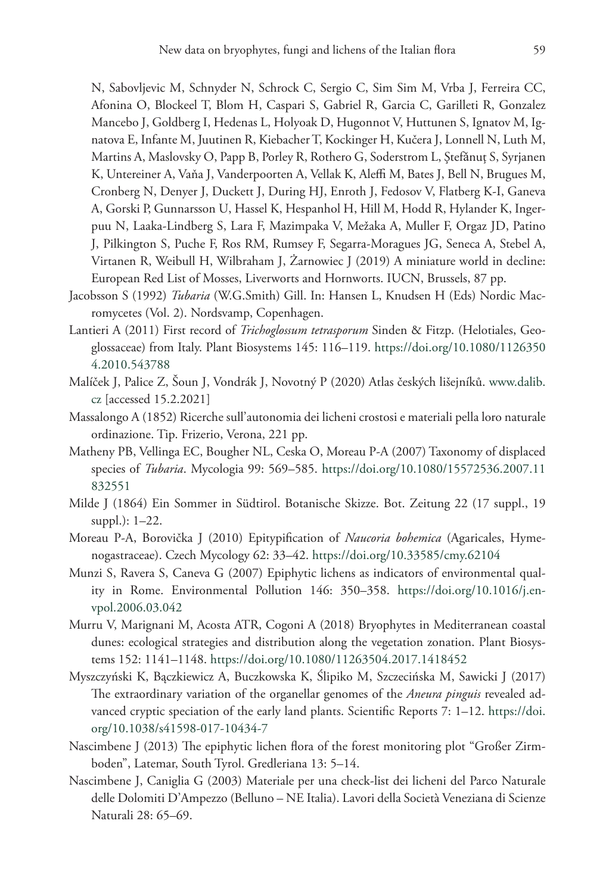N, Sabovljevic M, Schnyder N, Schrock C, Sergio C, Sim Sim M, Vrba J, Ferreira CC, Afonina O, Blockeel T, Blom H, Caspari S, Gabriel R, Garcia C, Garilleti R, Gonzalez Mancebo J, Goldberg I, Hedenas L, Holyoak D, Hugonnot V, Huttunen S, Ignatov M, Ignatova E, Infante M, Juutinen R, Kiebacher T, Kockinger H, Kučera J, Lonnell N, Luth M, Martins A, Maslovsky O, Papp B, Porley R, Rothero G, Soderstrom L, Ştefǎnuţ S, Syrjanen K, Untereiner A, Vaňa J, Vanderpoorten A, Vellak K, Aleffi M, Bates J, Bell N, Brugues M, Cronberg N, Denyer J, Duckett J, During HJ, Enroth J, Fedosov V, Flatberg K-I, Ganeva A, Gorski P, Gunnarsson U, Hassel K, Hespanhol H, Hill M, Hodd R, Hylander K, Ingerpuu N, Laaka-Lindberg S, Lara F, Mazimpaka V, Mežaka A, Muller F, Orgaz JD, Patino J, Pilkington S, Puche F, Ros RM, Rumsey F, Segarra-Moragues JG, Seneca A, Stebel A, Virtanen R, Weibull H, Wilbraham J, Żarnowiec J (2019) A miniature world in decline: European Red List of Mosses, Liverworts and Hornworts. IUCN, Brussels, 87 pp.

- Jacobsson S (1992) *Tubaria* (W.G.Smith) Gill. In: Hansen L, Knudsen H (Eds) Nordic Macromycetes (Vol. 2). Nordsvamp, Copenhagen.
- Lantieri A (2011) First record of *Trichoglossum tetrasporum* Sinden & Fitzp. (Helotiales, Geoglossaceae) from Italy. Plant Biosystems 145: 116–119. [https://doi.org/10.1080/1126350](https://doi.org/10.1080/11263504.2010.543788) [4.2010.543788](https://doi.org/10.1080/11263504.2010.543788)
- Malíček J, Palice Z, Šoun J, Vondrák J, Novotný P (2020) Atlas českých lišejníků. www.dalib. cz [accessed 15.2.2021]
- Massalongo A (1852) Ricerche sull'autonomia dei licheni crostosi e materiali pella loro naturale ordinazione. Tip. Frizerio, Verona, 221 pp.
- Matheny PB, Vellinga EC, Bougher NL, Ceska O, Moreau P-A (2007) Taxonomy of displaced species of *Tubaria*. Mycologia 99: 569–585. [https://doi.org/10.1080/15572536.2007.11](https://doi.org/10.1080/15572536.2007.11832551) [832551](https://doi.org/10.1080/15572536.2007.11832551)
- Milde J (1864) Ein Sommer in Südtirol. Botanische Skizze. Bot. Zeitung 22 (17 suppl., 19 suppl.): 1–22.
- Moreau P-A, Borovička J (2010) Epitypification of *Naucoria bohemica* (Agaricales, Hymenogastraceae). Czech Mycology 62: 33–42. <https://doi.org/10.33585/cmy.62104>
- Munzi S, Ravera S, Caneva G (2007) Epiphytic lichens as indicators of environmental quality in Rome. Environmental Pollution 146: 350–358. [https://doi.org/10.1016/j.en](https://doi.org/10.1016/j.envpol.2006.03.042)[vpol.2006.03.042](https://doi.org/10.1016/j.envpol.2006.03.042)
- Murru V, Marignani M, Acosta ATR, Cogoni A (2018) Bryophytes in Mediterranean coastal dunes: ecological strategies and distribution along the vegetation zonation. Plant Biosystems 152: 1141–1148.<https://doi.org/10.1080/11263504.2017.1418452>
- Myszczyński K, Bączkiewicz A, Buczkowska K, Ślipiko M, Szczecińska M, Sawicki J (2017) The extraordinary variation of the organellar genomes of the *Aneura pinguis* revealed advanced cryptic speciation of the early land plants. Scientific Reports 7: 1–12. [https://doi.](https://doi.org/10.1038/s41598-017-10434-7) [org/10.1038/s41598-017-10434-7](https://doi.org/10.1038/s41598-017-10434-7)
- Nascimbene J (2013) The epiphytic lichen flora of the forest monitoring plot "Großer Zirmboden", Latemar, South Tyrol. Gredleriana 13: 5–14.
- Nascimbene J, Caniglia G (2003) Materiale per una check-list dei licheni del Parco Naturale delle Dolomiti D'Ampezzo (Belluno – NE Italia). Lavori della Società Veneziana di Scienze Naturali 28: 65–69.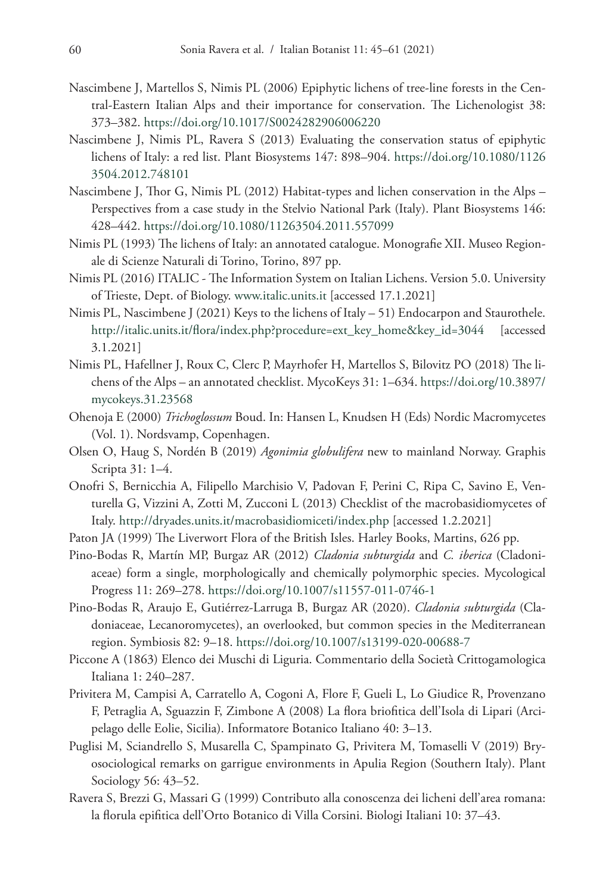- Nascimbene J, Martellos S, Nimis PL (2006) Epiphytic lichens of tree-line forests in the Central-Eastern Italian Alps and their importance for conservation. The Lichenologist 38: 373–382.<https://doi.org/10.1017/S0024282906006220>
- Nascimbene J, Nimis PL, Ravera S (2013) Evaluating the conservation status of epiphytic lichens of Italy: a red list. Plant Biosystems 147: 898–904. [https://doi.org/10.1080/1126](https://doi.org/10.1080/11263504.2012.748101) [3504.2012.748101](https://doi.org/10.1080/11263504.2012.748101)
- Nascimbene J, Thor G, Nimis PL (2012) Habitat-types and lichen conservation in the Alps Perspectives from a case study in the Stelvio National Park (Italy). Plant Biosystems 146: 428–442.<https://doi.org/10.1080/11263504.2011.557099>
- Nimis PL (1993) The lichens of Italy: an annotated catalogue. Monografie XII. Museo Regionale di Scienze Naturali di Torino, Torino, 897 pp.
- Nimis PL (2016) ITALIC The Information System on Italian Lichens. Version 5.0. University of Trieste, Dept. of Biology. www.italic.units.it [accessed 17.1.2021]
- Nimis PL, Nascimbene J (2021) Keys to the lichens of Italy 51) Endocarpon and Staurothele. [http://italic.units.it/flora/index.php?procedure=ext\\_key\\_home&key\\_id=3044](http://italic.units.it/flora/index.php?procedure=ext_key_home&key_id=3044) [accessed 3.1.2021]
- Nimis PL, Hafellner J, Roux C, Clerc P, Mayrhofer H, Martellos S, Bilovitz PO (2018) The lichens of the Alps – an annotated checklist. MycoKeys 31: 1–634. [https://doi.org/10.3897/](https://doi.org/10.3897/mycokeys.31.23568) [mycokeys.31.23568](https://doi.org/10.3897/mycokeys.31.23568)
- Ohenoja E (2000) *Trichoglossum* Boud. In: Hansen L, Knudsen H (Eds) Nordic Macromycetes (Vol. 1). Nordsvamp, Copenhagen.
- Olsen O, Haug S, Nordén B (2019) *Agonimia globulifera* new to mainland Norway. Graphis Scripta 31: 1–4.
- Onofri S, Bernicchia A, Filipello Marchisio V, Padovan F, Perini C, Ripa C, Savino E, Venturella G, Vizzini A, Zotti M, Zucconi L (2013) Checklist of the macrobasidiomycetes of Italy. <http://dryades.units.it/macrobasidiomiceti/index.php> [accessed 1.2.2021]
- Paton JA (1999) The Liverwort Flora of the British Isles. Harley Books, Martins, 626 pp.
- Pino-Bodas R, Martín MP, Burgaz AR (2012) *Cladonia subturgida* and *C. iberica* (Cladoniaceae) form a single, morphologically and chemically polymorphic species. Mycological Progress 11: 269–278.<https://doi.org/10.1007/s11557-011-0746-1>
- Pino-Bodas R, Araujo E, Gutiérrez-Larruga B, Burgaz AR (2020). *Cladonia subturgida* (Cladoniaceae, Lecanoromycetes), an overlooked, but common species in the Mediterranean region. Symbiosis 82: 9–18. <https://doi.org/10.1007/s13199-020-00688-7>
- Piccone A (1863) Elenco dei Muschi di Liguria. Commentario della Società Crittogamologica Italiana 1: 240–287.
- Privitera M, Campisi A, Carratello A, Cogoni A, Flore F, Gueli L, Lo Giudice R, Provenzano F, Petraglia A, Sguazzin F, Zimbone A (2008) La flora briofitica dell'Isola di Lipari (Arcipelago delle Eolie, Sicilia). Informatore Botanico Italiano 40: 3–13.
- Puglisi M, Sciandrello S, Musarella C, Spampinato G, Privitera M, Tomaselli V (2019) Bryosociological remarks on garrigue environments in Apulia Region (Southern Italy). Plant Sociology 56: 43–52.
- Ravera S, Brezzi G, Massari G (1999) Contributo alla conoscenza dei licheni dell'area romana: la florula epifitica dell'Orto Botanico di Villa Corsini. Biologi Italiani 10: 37–43.